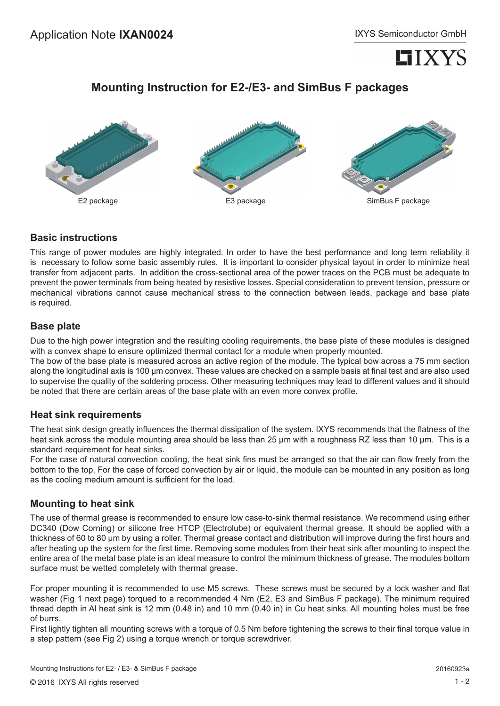

# **Mounting Instruction for E2-/E3- and SimBus F packages**



### **Basic instructions**

This range of power modules are highly integrated. In order to have the best performance and long term reliability it is necessary to follow some basic assembly rules. It is important to consider physical layout in order to minimize heat transfer from adjacent parts. In addition the cross-sectional area of the power traces on the PCB must be adequate to prevent the power terminals from being heated by resistive losses. Special consideration to prevent tension, pressure or mechanical vibrations cannot cause mechanical stress to the connection between leads, package and base plate is required.

#### **Base plate**

Due to the high power integration and the resulting cooling requirements, the base plate of these modules is designed with a convex shape to ensure optimized thermal contact for a module when properly mounted.

The bow of the base plate is measured across an active region of the module. The typical bow across a 75 mm section along the longitudinal axis is 100 µm convex. These values are checked on a sample basis at final test and are also used to supervise the quality of the soldering process. Other measuring techniques may lead to different values and it should be noted that there are certain areas of the base plate with an even more convex profile.

#### **Heat sink requirements**

The heat sink design greatly influences the thermal dissipation of the system. IXYS recommends that the flatness of the heat sink across the module mounting area should be less than 25 µm with a roughness RZ less than 10 µm. This is a standard requirement for heat sinks.

For the case of natural convection cooling, the heat sink fins must be arranged so that the air can flow freely from the bottom to the top. For the case of forced convection by air or liquid, the module can be mounted in any position as long as the cooling medium amount is sufficient for the load.

#### **Mounting to heat sink**

The use of thermal grease is recommended to ensure low case-to-sink thermal resistance. We recommend using either DC340 (Dow Corning) or silicone free HTCP (Electrolube) or equivalent thermal grease. It should be applied with a thickness of 60 to 80 µm by using a roller. Thermal grease contact and distribution will improve during the first hours and after heating up the system for the first time. Removing some modules from their heat sink after mounting to inspect the entire area of the metal base plate is an ideal measure to control the minimum thickness of grease. The modules bottom surface must be wetted completely with thermal grease.

For proper mounting it is recommended to use M5 screws. These screws must be secured by a lock washer and flat washer (Fig 1 next page) torqued to a recommended 4 Nm (E2, E3 and SimBus F package). The minimum required thread depth in Al heat sink is 12 mm (0.48 in) and 10 mm (0.40 in) in Cu heat sinks. All mounting holes must be free of burrs.

First lightly tighten all mounting screws with a torque of 0.5 Nm before tightening the screws to their final torque value in a step pattern (see Fig 2) using a torque wrench or torque screwdriver.